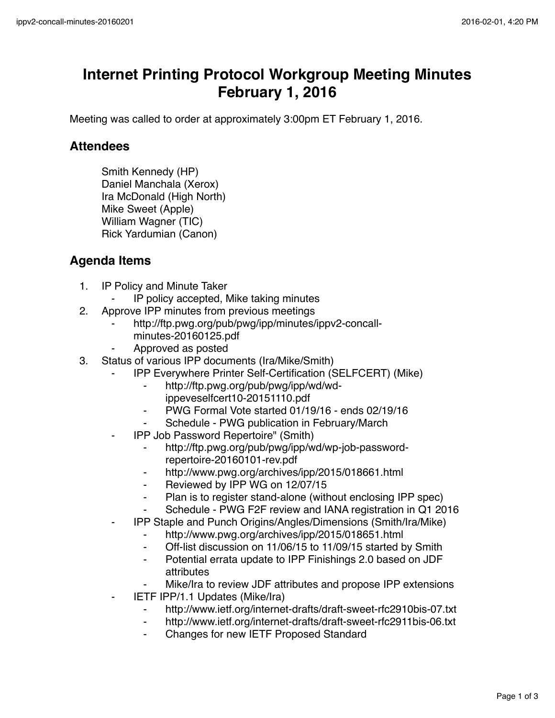## **Internet Printing Protocol Workgroup Meeting Minutes February 1, 2016**

Meeting was called to order at approximately 3:00pm ET February 1, 2016.

## **Attendees**

Smith Kennedy (HP) Daniel Manchala (Xerox) Ira McDonald (High North) Mike Sweet (Apple) William Wagner (TIC) Rick Yardumian (Canon)

## **Agenda Items**

- 1. IP Policy and Minute Taker
	- IP policy accepted, Mike taking minutes
- 2. Approve IPP minutes from previous meetings
	- http://ftp.pwg.org/pub/pwg/ipp/minutes/ippv2-concallminutes-20160125.pdf
	- ⁃ Approved as posted
- 3. Status of various IPP documents (Ira/Mike/Smith)
	- IPP Everywhere Printer Self-Certification (SELFCERT) (Mike)
		- ⁃ http://ftp.pwg.org/pub/pwg/ipp/wd/wdippeveselfcert10-20151110.pdf
		- ⁃ PWG Formal Vote started 01/19/16 ends 02/19/16
		- Schedule PWG publication in February/March
	- ⁃ IPP Job Password Repertoire" (Smith)
		- http://ftp.pwg.org/pub/pwg/ipp/wd/wp-job-passwordrepertoire-20160101-rev.pdf
		- http://www.pwg.org/archives/ipp/2015/018661.html
		- ⁃ Reviewed by IPP WG on 12/07/15
		- ⁃ Plan is to register stand-alone (without enclosing IPP spec)
		- Schedule PWG F2F review and IANA registration in Q1 2016
	- ⁃ IPP Staple and Punch Origins/Angles/Dimensions (Smith/Ira/Mike)
		- ⁃ http://www.pwg.org/archives/ipp/2015/018651.html
		- ⁃ Off-list discussion on 11/06/15 to 11/09/15 started by Smith
		- ⁃ Potential errata update to IPP Finishings 2.0 based on JDF attributes
		- Mike/Ira to review JDF attributes and propose IPP extensions
	- **IETF IPP/1.1 Updates (Mike/Ira)** 
		- ⁃ http://www.ietf.org/internet-drafts/draft-sweet-rfc2910bis-07.txt
		- http://www.ietf.org/internet-drafts/draft-sweet-rfc2911bis-06.txt
		- Changes for new IETF Proposed Standard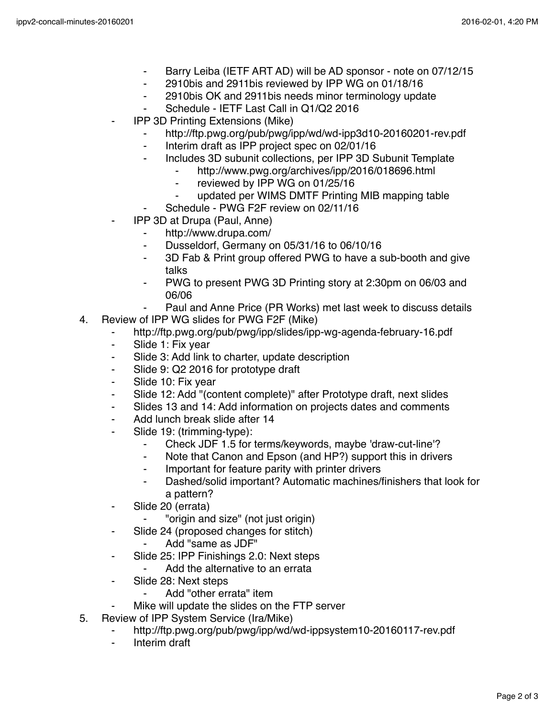- ⁃ Barry Leiba (IETF ART AD) will be AD sponsor note on 07/12/15
- ⁃ 2910bis and 2911bis reviewed by IPP WG on 01/18/16
- ⁃ 2910bis OK and 2911bis needs minor terminology update
- ⁃ Schedule IETF Last Call in Q1/Q2 2016
- **IPP 3D Printing Extensions (Mike)** 
	- http://ftp.pwg.org/pub/pwg/ipp/wd/wd-ipp3d10-20160201-rev.pdf
	- ⁃ Interim draft as IPP project spec on 02/01/16
	- Includes 3D subunit collections, per IPP 3D Subunit Template
		- http://www.pwg.org/archives/ipp/2016/018696.html
		- reviewed by IPP WG on 01/25/16
		- updated per WIMS DMTF Printing MIB mapping table
		- Schedule PWG F2F review on 02/11/16
- ⁃ IPP 3D at Drupa (Paul, Anne)
	- ⁃ http://www.drupa.com/
	- ⁃ Dusseldorf, Germany on 05/31/16 to 06/10/16
	- ⁃ 3D Fab & Print group offered PWG to have a sub-booth and give talks
	- PWG to present PWG 3D Printing story at 2:30pm on 06/03 and 06/06
	- Paul and Anne Price (PR Works) met last week to discuss details
- 4. Review of IPP WG slides for PWG F2F (Mike)
	- ⁃ http://ftp.pwg.org/pub/pwg/ipp/slides/ipp-wg-agenda-february-16.pdf
	- Slide 1: Fix year
	- ⁃ Slide 3: Add link to charter, update description
	- ⁃ Slide 9: Q2 2016 for prototype draft
	- ⁃ Slide 10: Fix year
	- ⁃ Slide 12: Add "(content complete)" after Prototype draft, next slides
	- Slides 13 and 14: Add information on projects dates and comments
	- Add lunch break slide after 14
	- Slide 19: (trimming-type):
		- ⁃ Check JDF 1.5 for terms/keywords, maybe 'draw-cut-line'?
		- ⁃ Note that Canon and Epson (and HP?) support this in drivers
		- Important for feature parity with printer drivers
		- ⁃ Dashed/solid important? Automatic machines/finishers that look for a pattern?
	- ⁃ Slide 20 (errata)
		- "origin and size" (not just origin)
	- ⁃ Slide 24 (proposed changes for stitch)
		- ⁃ Add "same as JDF"
	- ⁃ Slide 25: IPP Finishings 2.0: Next steps
		- Add the alternative to an errata
	- ⁃ Slide 28: Next steps
		- Add "other errata" item
	- Mike will update the slides on the FTP server
- 5. Review of IPP System Service (Ira/Mike)
	- http://ftp.pwg.org/pub/pwg/ipp/wd/wd-ippsystem10-20160117-rev.pdf
	- ⁃ Interim draft